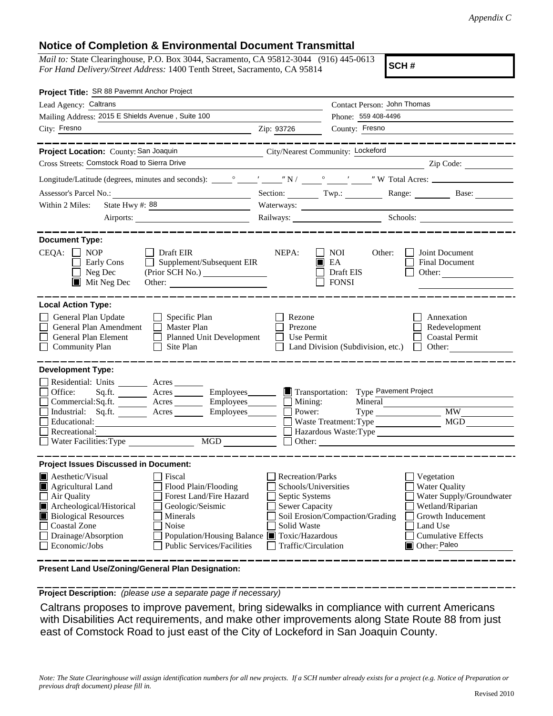## **Notice of Completion & Environmental Document Transmittal**

*Mail to:* State Clearinghouse, P.O. Box 3044, Sacramento, CA 95812-3044 (916) 445-0613 *For Hand Delivery/Street Address:* 1400 Tenth Street, Sacramento, CA 95814

**SCH #**

| Project Title: SR 88 Pavemnt Anchor Project                                                                                                                                                                                                                                                                                                                               |                                                                                                                                  |                                                                                                                                                                                                                                |                                                                                                                                                                                                                                                                                                                     |  |  |  |
|---------------------------------------------------------------------------------------------------------------------------------------------------------------------------------------------------------------------------------------------------------------------------------------------------------------------------------------------------------------------------|----------------------------------------------------------------------------------------------------------------------------------|--------------------------------------------------------------------------------------------------------------------------------------------------------------------------------------------------------------------------------|---------------------------------------------------------------------------------------------------------------------------------------------------------------------------------------------------------------------------------------------------------------------------------------------------------------------|--|--|--|
| Lead Agency: Caltrans                                                                                                                                                                                                                                                                                                                                                     |                                                                                                                                  | Contact Person: John Thomas                                                                                                                                                                                                    |                                                                                                                                                                                                                                                                                                                     |  |  |  |
| Mailing Address: 2015 E Shields Avenue, Suite 100                                                                                                                                                                                                                                                                                                                         | Phone: 559 408-4496                                                                                                              |                                                                                                                                                                                                                                |                                                                                                                                                                                                                                                                                                                     |  |  |  |
| City: Fresno                                                                                                                                                                                                                                                                                                                                                              | Zip: 93726                                                                                                                       | County: Fresno                                                                                                                                                                                                                 |                                                                                                                                                                                                                                                                                                                     |  |  |  |
|                                                                                                                                                                                                                                                                                                                                                                           |                                                                                                                                  |                                                                                                                                                                                                                                |                                                                                                                                                                                                                                                                                                                     |  |  |  |
| City/Nearest Community: Lockeford<br>Project Location: County: San Joaquin                                                                                                                                                                                                                                                                                                |                                                                                                                                  |                                                                                                                                                                                                                                |                                                                                                                                                                                                                                                                                                                     |  |  |  |
| Cross Streets: Comstock Road to Sierra Drive                                                                                                                                                                                                                                                                                                                              |                                                                                                                                  |                                                                                                                                                                                                                                | $\frac{1}{2}$ $\frac{1}{2}$ $\frac{1}{2}$ $\frac{1}{2}$ $\frac{1}{2}$ $\frac{1}{2}$ $\frac{1}{2}$ $\frac{1}{2}$ $\frac{1}{2}$ $\frac{1}{2}$ $\frac{1}{2}$ $\frac{1}{2}$ $\frac{1}{2}$ $\frac{1}{2}$ $\frac{1}{2}$ $\frac{1}{2}$ $\frac{1}{2}$ $\frac{1}{2}$ $\frac{1}{2}$ $\frac{1}{2}$ $\frac{1}{2}$ $\frac{1}{2}$ |  |  |  |
|                                                                                                                                                                                                                                                                                                                                                                           |                                                                                                                                  |                                                                                                                                                                                                                                |                                                                                                                                                                                                                                                                                                                     |  |  |  |
| Assessor's Parcel No.:<br><u> 1989 - Johann Barbara, martxa alemaniar a</u>                                                                                                                                                                                                                                                                                               |                                                                                                                                  | Section: $\qquad \qquad \text{Two:}$                                                                                                                                                                                           | Range: Base:                                                                                                                                                                                                                                                                                                        |  |  |  |
| State Hwy #: 88<br>Within 2 Miles:                                                                                                                                                                                                                                                                                                                                        |                                                                                                                                  |                                                                                                                                                                                                                                |                                                                                                                                                                                                                                                                                                                     |  |  |  |
|                                                                                                                                                                                                                                                                                                                                                                           |                                                                                                                                  | Railways: Schools: Schools: Charles Schools: Charles Schools: Charles Schools: Charles Schools: Charles Schools: Charles Schools: Charles Schools: Charles Schools: Charles Schools: Charles Schools: Charles Schools: Charles |                                                                                                                                                                                                                                                                                                                     |  |  |  |
| <b>Document Type:</b>                                                                                                                                                                                                                                                                                                                                                     |                                                                                                                                  |                                                                                                                                                                                                                                |                                                                                                                                                                                                                                                                                                                     |  |  |  |
| $CEQA: \Box NOP$<br>$\Box$ Draft EIR<br>Supplement/Subsequent EIR<br>Early Cons<br>$\Box$ Neg Dec<br>$\blacksquare$ Mit Neg Dec<br>Other:                                                                                                                                                                                                                                 | NEPA:<br>Ш                                                                                                                       | <b>NOI</b><br>Other:<br>EA<br>Draft EIS<br><b>FONSI</b>                                                                                                                                                                        | Joint Document<br><b>Final Document</b><br>Other:                                                                                                                                                                                                                                                                   |  |  |  |
| <b>Local Action Type:</b>                                                                                                                                                                                                                                                                                                                                                 |                                                                                                                                  |                                                                                                                                                                                                                                |                                                                                                                                                                                                                                                                                                                     |  |  |  |
| General Plan Update<br>$\Box$ Specific Plan<br>General Plan Amendment<br>$\Box$ Master Plan<br>General Plan Element<br>П<br><b>Planned Unit Development</b><br>Community Plan<br>Site Plan<br>$\mathbf{L}$                                                                                                                                                                | Rezone<br>Prezone<br>Use Permit                                                                                                  | Land Division (Subdivision, etc.)                                                                                                                                                                                              | Annexation<br>Redevelopment<br><b>Coastal Permit</b><br>Other:<br>$\Box$                                                                                                                                                                                                                                            |  |  |  |
| <b>Development Type:</b><br>Residential: Units Acres<br>Sq.ft. Acres Employees <b>Employees</b> Transportation:<br>Office:                                                                                                                                                                                                                                                |                                                                                                                                  | Type Pavement Project                                                                                                                                                                                                          |                                                                                                                                                                                                                                                                                                                     |  |  |  |
| Commercial:Sq.ft. _______ Acres ________ Employees _______ __ Mining:                                                                                                                                                                                                                                                                                                     |                                                                                                                                  | Mineral                                                                                                                                                                                                                        |                                                                                                                                                                                                                                                                                                                     |  |  |  |
| Industrial: Sq.ft. _______ Acres ______<br>$Employes$ <sub>_________</sub> $\Box$<br>Educational:                                                                                                                                                                                                                                                                         | Power:                                                                                                                           |                                                                                                                                                                                                                                | <b>MW</b><br><b>MGD</b>                                                                                                                                                                                                                                                                                             |  |  |  |
| Recreational:                                                                                                                                                                                                                                                                                                                                                             | Waste Treatment: Type<br>Hazardous Waste: Type                                                                                   |                                                                                                                                                                                                                                |                                                                                                                                                                                                                                                                                                                     |  |  |  |
| MGD<br>Water Facilities: Type                                                                                                                                                                                                                                                                                                                                             |                                                                                                                                  | Other:                                                                                                                                                                                                                         |                                                                                                                                                                                                                                                                                                                     |  |  |  |
| <b>Project Issues Discussed in Document:</b>                                                                                                                                                                                                                                                                                                                              |                                                                                                                                  |                                                                                                                                                                                                                                |                                                                                                                                                                                                                                                                                                                     |  |  |  |
| Aesthetic/Visual<br>Fiscal<br>Flood Plain/Flooding<br>Agricultural Land<br>Air Quality<br>Forest Land/Fire Hazard<br>Archeological/Historical<br>Geologic/Seismic<br><b>Biological Resources</b><br>Minerals<br><b>Coastal Zone</b><br>Noise<br>Drainage/Absorption<br>Population/Housing Balance ■ Toxic/Hazardous<br><b>Public Services/Facilities</b><br>Economic/Jobs | <b>Recreation/Parks</b><br>Schools/Universities<br>Septic Systems<br><b>Sewer Capacity</b><br>Solid Waste<br>Traffic/Circulation | Soil Erosion/Compaction/Grading                                                                                                                                                                                                | Vegetation<br><b>Water Quality</b><br>Water Supply/Groundwater<br>Wetland/Riparian<br>Growth Inducement<br>Land Use<br><b>Cumulative Effects</b><br>Other: Paleo                                                                                                                                                    |  |  |  |

**Present Land Use/Zoning/General Plan Designation:**

**Project Description:** *(please use a separate page if necessary)*

 Caltrans proposes to improve pavement, bring sidewalks in compliance with current Americans with Disabilities Act requirements, and make other improvements along State Route 88 from just east of Comstock Road to just east of the City of Lockeford in San Joaquin County.